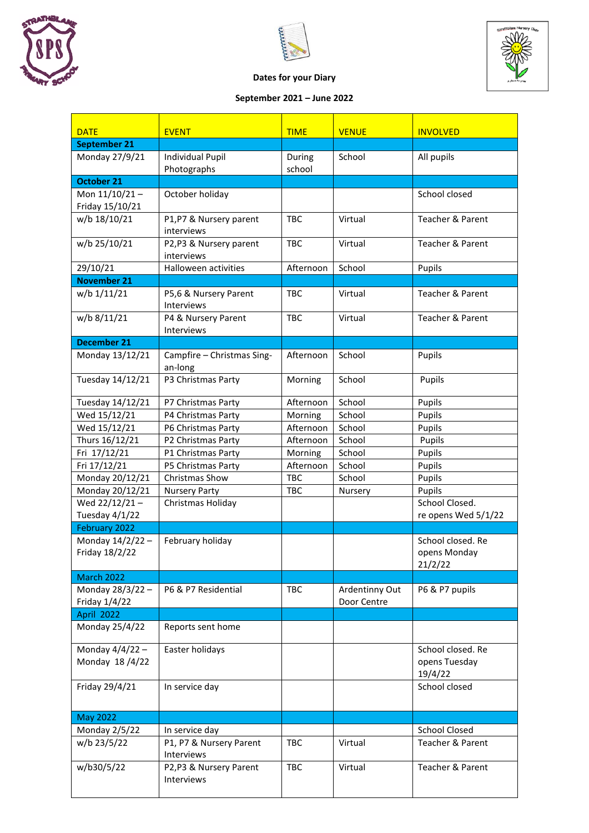





## **Dates for your Diary**

## **September 2021 – June 2022**

| <b>DATE</b>                      | <b>EVENT</b>                           | <b>TIME</b>      | <b>VENUE</b>                  | <b>INVOLVED</b>             |
|----------------------------------|----------------------------------------|------------------|-------------------------------|-----------------------------|
| September 21                     |                                        |                  |                               |                             |
| Monday 27/9/21                   | <b>Individual Pupil</b><br>Photographs | During<br>school | School                        | All pupils                  |
| <b>October 21</b>                |                                        |                  |                               |                             |
| Mon 11/10/21-                    | October holiday                        |                  |                               | School closed               |
| Friday 15/10/21                  |                                        |                  |                               |                             |
| w/b 18/10/21                     | P1,P7 & Nursery parent                 | TBC              | Virtual                       | Teacher & Parent            |
|                                  | interviews                             |                  |                               |                             |
| w/b 25/10/21                     | P2,P3 & Nursery parent                 | <b>TBC</b>       | Virtual                       | Teacher & Parent            |
|                                  | interviews                             |                  |                               |                             |
| 29/10/21                         | Halloween activities                   | Afternoon        | School                        | Pupils                      |
| <b>November 21</b>               |                                        |                  |                               |                             |
| w/b 1/11/21                      | P5,6 & Nursery Parent<br>Interviews    | <b>TBC</b>       | Virtual                       | Teacher & Parent            |
| w/b 8/11/21                      | P4 & Nursery Parent                    | <b>TBC</b>       | Virtual                       | Teacher & Parent            |
|                                  | Interviews                             |                  |                               |                             |
| December 21                      |                                        |                  |                               |                             |
| Monday 13/12/21                  | Campfire - Christmas Sing-<br>an-long  | Afternoon        | School                        | Pupils                      |
| Tuesday 14/12/21                 | P3 Christmas Party                     | Morning          | School                        | Pupils                      |
| Tuesday 14/12/21                 | P7 Christmas Party                     | Afternoon        | School                        | Pupils                      |
| Wed 15/12/21                     | P4 Christmas Party                     | Morning          | School                        | Pupils                      |
| Wed 15/12/21                     | P6 Christmas Party                     | Afternoon        | School                        | Pupils                      |
| Thurs 16/12/21                   | P2 Christmas Party                     | Afternoon        | School                        | Pupils                      |
| Fri 17/12/21                     | P1 Christmas Party                     | Morning          | School                        | Pupils                      |
| Fri 17/12/21                     | P5 Christmas Party                     | Afternoon        | School                        | Pupils                      |
| Monday 20/12/21                  | Christmas Show                         | TBC              | School                        | Pupils                      |
| Monday 20/12/21                  | <b>Nursery Party</b>                   | TBC              | Nursery                       | Pupils                      |
| Wed 22/12/21-                    | Christmas Holiday                      |                  |                               | School Closed.              |
| Tuesday 4/1/22                   |                                        |                  |                               | re opens Wed 5/1/22         |
| February 2022                    |                                        |                  |                               |                             |
| Monday 14/2/22-                  | February holiday                       |                  |                               | School closed. Re           |
| Friday 18/2/22                   |                                        |                  |                               | opens Monday                |
|                                  |                                        |                  |                               | 21/2/22                     |
| March 2022                       |                                        |                  |                               |                             |
| Monday 28/3/22-<br>Friday 1/4/22 | P6 & P7 Residential                    | <b>TBC</b>       | Ardentinny Out<br>Door Centre | P6 & P7 pupils              |
| April 2022                       |                                        |                  |                               |                             |
| Monday 25/4/22                   | Reports sent home                      |                  |                               |                             |
| Monday 4/4/22 -                  | Easter holidays                        |                  |                               | School closed. Re           |
| Monday 18/4/22                   |                                        |                  |                               | opens Tuesday<br>19/4/22    |
| Friday 29/4/21                   | In service day                         |                  |                               | School closed               |
| <b>May 2022</b>                  |                                        |                  |                               |                             |
| Monday 2/5/22                    | In service day                         |                  |                               | <b>School Closed</b>        |
| w/b 23/5/22                      | P1, P7 & Nursery Parent<br>Interviews  | TBC              | Virtual                       | Teacher & Parent            |
| w/b30/5/22                       | P2,P3 & Nursery Parent<br>Interviews   | <b>TBC</b>       | Virtual                       | <b>Teacher &amp; Parent</b> |